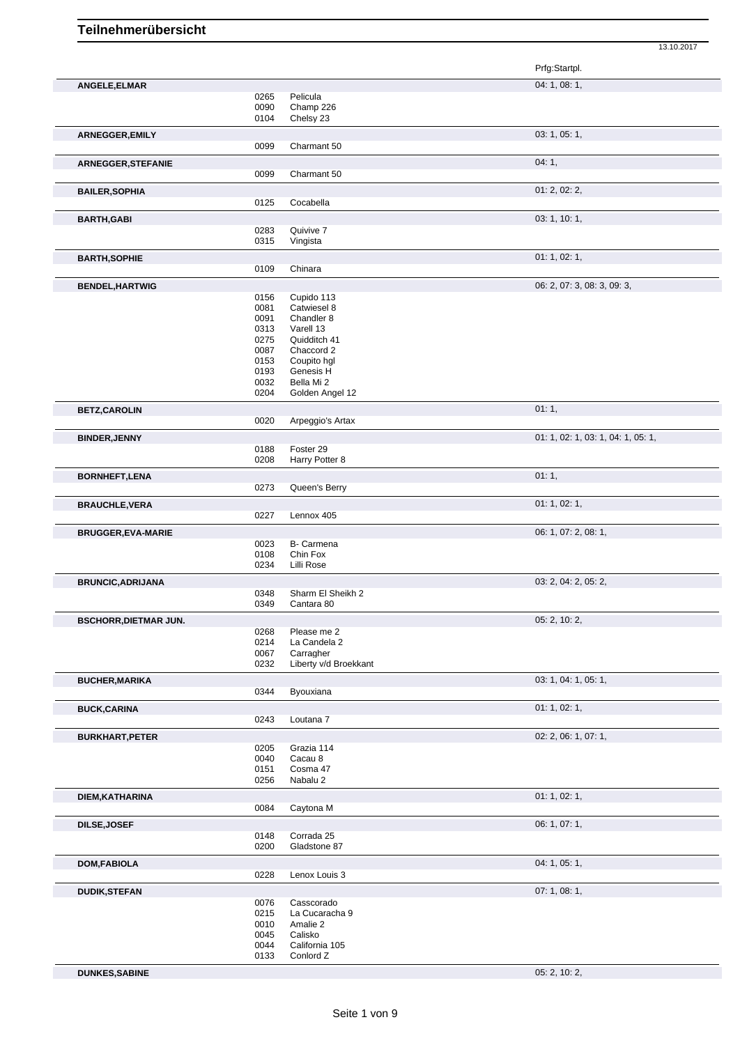|                              |              |                           | Prfg:Startpl.                      |
|------------------------------|--------------|---------------------------|------------------------------------|
| ANGELE, ELMAR                |              |                           | 04: 1, 08: 1,                      |
|                              | 0265         | Pelicula                  |                                    |
|                              | 0090         | Champ 226                 |                                    |
|                              | 0104         | Chelsy 23                 |                                    |
| ARNEGGER, EMILY              |              |                           | 03: 1, 05: 1,                      |
|                              | 0099         | Charmant 50               |                                    |
| ARNEGGER, STEFANIE           |              |                           | 04:1,                              |
|                              | 0099         | Charmant 50               |                                    |
| <b>BAILER, SOPHIA</b>        |              |                           | 01: 2, 02: 2,                      |
|                              | 0125         | Cocabella                 |                                    |
| <b>BARTH, GABI</b>           |              |                           | 03: 1, 10: 1,                      |
|                              | 0283         | Quivive 7                 |                                    |
|                              | 0315         | Vingista                  |                                    |
| <b>BARTH, SOPHIE</b>         |              |                           | 01: 1, 02: 1,                      |
|                              | 0109         | Chinara                   |                                    |
| <b>BENDEL, HARTWIG</b>       |              |                           | 06: 2, 07: 3, 08: 3, 09: 3,        |
|                              | 0156         | Cupido 113                |                                    |
|                              | 0081         | Catwiesel 8               |                                    |
|                              | 0091         | Chandler 8                |                                    |
|                              | 0313         | Varell 13                 |                                    |
|                              | 0275         | Quidditch 41              |                                    |
|                              | 0087         | Chaccord 2                |                                    |
|                              | 0153<br>0193 | Coupito hgl<br>Genesis H  |                                    |
|                              | 0032         | Bella Mi 2                |                                    |
|                              | 0204         | Golden Angel 12           |                                    |
| <b>BETZ,CAROLIN</b>          |              |                           | 01:1,                              |
|                              | 0020         | Arpeggio's Artax          |                                    |
|                              |              |                           | 01: 1, 02: 1, 03: 1, 04: 1, 05: 1, |
| <b>BINDER, JENNY</b>         | 0188         | Foster 29                 |                                    |
|                              | 0208         | Harry Potter 8            |                                    |
|                              |              |                           | 01:1,                              |
| <b>BORNHEFT,LENA</b>         | 0273         | Queen's Berry             |                                    |
|                              |              |                           |                                    |
| <b>BRAUCHLE, VERA</b>        |              |                           | 01: 1, 02: 1,                      |
|                              | 0227         | Lennox 405                |                                    |
| <b>BRUGGER, EVA-MARIE</b>    |              |                           | 06: 1, 07: 2, 08: 1,               |
|                              | 0023         | B- Carmena                |                                    |
|                              | 0108         | Chin Fox                  |                                    |
|                              | 0234         | Lilli Rose                |                                    |
| <b>BRUNCIC, ADRIJANA</b>     |              |                           | 03: 2, 04: 2, 05: 2,               |
|                              | 0348         | Sharm El Sheikh 2         |                                    |
|                              | 0349         | Cantara 80                |                                    |
| <b>BSCHORR, DIETMAR JUN.</b> |              |                           | 05: 2, 10: 2,                      |
|                              | 0268         | Please me 2               |                                    |
|                              | 0214<br>0067 | La Candela 2<br>Carragher |                                    |
|                              | 0232         | Liberty v/d Broekkant     |                                    |
|                              |              |                           | 03: 1, 04: 1, 05: 1,               |
| <b>BUCHER, MARIKA</b>        | 0344         | Byouxiana                 |                                    |
|                              |              |                           |                                    |
| <b>BUCK,CARINA</b>           | 0243         | Loutana 7                 | 01: 1, 02: 1,                      |
|                              |              |                           |                                    |
| <b>BURKHART, PETER</b>       |              |                           | 02: 2, 06: 1, 07: 1,               |
|                              | 0205         | Grazia 114                |                                    |
|                              | 0040<br>0151 | Cacau 8<br>Cosma 47       |                                    |
|                              | 0256         | Nabalu 2                  |                                    |
|                              |              |                           |                                    |
| DIEM, KATHARINA              | 0084         | Caytona M                 | 01: 1, 02: 1,                      |
|                              |              |                           |                                    |
| <b>DILSE, JOSEF</b>          |              |                           | 06: 1, 07: 1,                      |
|                              | 0148         | Corrada 25                |                                    |
|                              | 0200         | Gladstone 87              |                                    |
| <b>DOM, FABIOLA</b>          |              |                           | 04: 1, 05: 1,                      |
|                              | 0228         | Lenox Louis 3             |                                    |
| <b>DUDIK,STEFAN</b>          |              |                           | 07:1,08:1,                         |
|                              | 0076         | Casscorado                |                                    |
|                              | 0215         | La Cucaracha 9            |                                    |
|                              | 0010         | Amalie 2                  |                                    |
|                              | 0045         | Calisko                   |                                    |
|                              | 0044         | California 105            |                                    |
|                              | 0133         | Conlord Z                 |                                    |

**DUNKES,SABINE** 05: 2, 10: 2,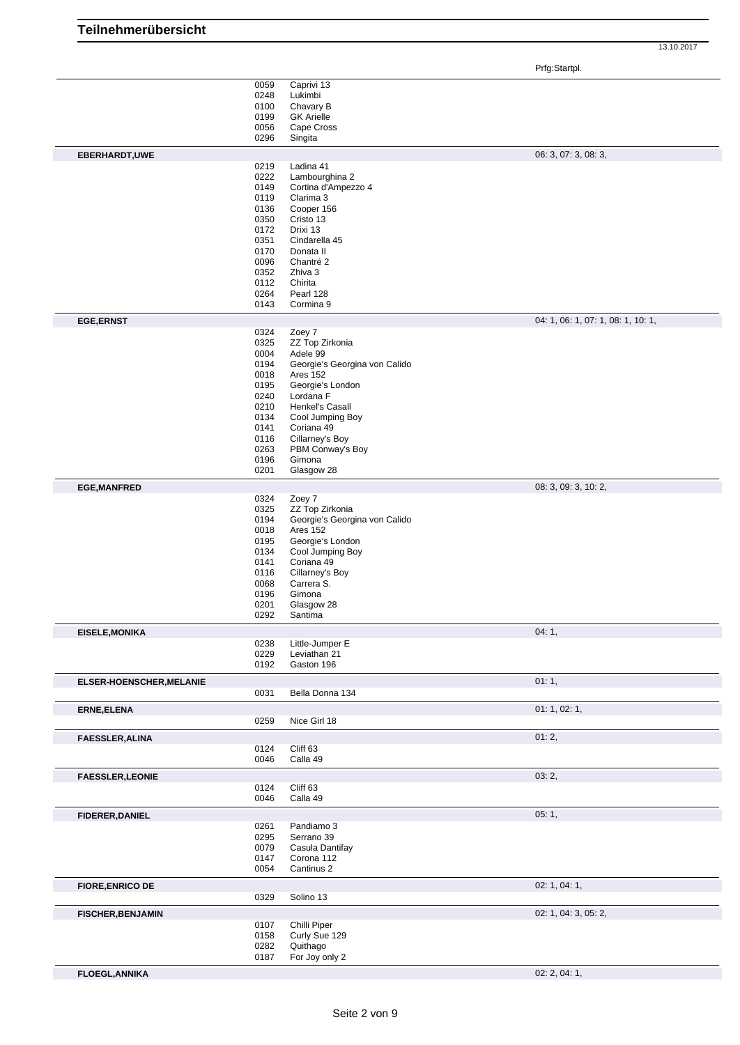13.10.2017

|                          |              |                                                  | Prfg:Startpl.                      |
|--------------------------|--------------|--------------------------------------------------|------------------------------------|
|                          | 0059         | Caprivi 13                                       |                                    |
|                          | 0248         | Lukimbi                                          |                                    |
|                          | 0100         | Chavary B                                        |                                    |
|                          | 0199         | <b>GK Arielle</b>                                |                                    |
|                          | 0056<br>0296 | Cape Cross<br>Singita                            |                                    |
|                          |              |                                                  |                                    |
| EBERHARDT, UWE           | 0219         | Ladina 41                                        | 06: 3, 07: 3, 08: 3,               |
|                          | 0222         | Lambourghina 2                                   |                                    |
|                          | 0149         | Cortina d'Ampezzo 4                              |                                    |
|                          | 0119         | Clarima 3                                        |                                    |
|                          | 0136         | Cooper 156                                       |                                    |
|                          | 0350         | Cristo 13                                        |                                    |
|                          | 0172         | Drixi 13                                         |                                    |
|                          | 0351         | Cindarella 45                                    |                                    |
|                          | 0170<br>0096 | Donata II<br>Chantré 2                           |                                    |
|                          | 0352         | Zhiva 3                                          |                                    |
|                          | 0112         | Chirita                                          |                                    |
|                          | 0264         | Pearl 128                                        |                                    |
|                          | 0143         | Cormina 9                                        |                                    |
| <b>EGE,ERNST</b>         |              |                                                  | 04: 1, 06: 1, 07: 1, 08: 1, 10: 1, |
|                          | 0324         | Zoey 7                                           |                                    |
|                          | 0325         | ZZ Top Zirkonia                                  |                                    |
|                          | 0004         | Adele 99                                         |                                    |
|                          | 0194         | Georgie's Georgina von Calido                    |                                    |
|                          | 0018         | Ares 152                                         |                                    |
|                          | 0195<br>0240 | Georgie's London<br>Lordana F                    |                                    |
|                          | 0210         | Henkel's Casall                                  |                                    |
|                          | 0134         | Cool Jumping Boy                                 |                                    |
|                          | 0141         | Coriana 49                                       |                                    |
|                          | 0116         | Cillarney's Boy                                  |                                    |
|                          | 0263         | PBM Conway's Boy                                 |                                    |
|                          | 0196         | Gimona                                           |                                    |
|                          | 0201         | Glasgow 28                                       |                                    |
| <b>EGE, MANFRED</b>      |              |                                                  | 08: 3, 09: 3, 10: 2,               |
|                          | 0324         | Zoey 7                                           |                                    |
|                          | 0325<br>0194 | ZZ Top Zirkonia<br>Georgie's Georgina von Calido |                                    |
|                          | 0018         | <b>Ares 152</b>                                  |                                    |
|                          | 0195         | Georgie's London                                 |                                    |
|                          | 0134         | Cool Jumping Boy                                 |                                    |
|                          | 0141         | Coriana 49                                       |                                    |
|                          | 0116         | Cillarney's Boy                                  |                                    |
|                          | 0068         | Carrera S.                                       |                                    |
|                          | 0196         | Gimona                                           |                                    |
|                          | 0201<br>0292 | Glasgow 28<br>Santima                            |                                    |
| <b>EISELE, MONIKA</b>    |              |                                                  | 04:1,                              |
|                          | 0238         | Little-Jumper E                                  |                                    |
|                          | 0229         | Leviathan 21                                     |                                    |
|                          | 0192         | Gaston 196                                       |                                    |
| ELSER-HOENSCHER, MELANIE |              |                                                  | 01:1,                              |
|                          | 0031         | Bella Donna 134                                  |                                    |
| ERNE, ELENA              |              |                                                  | 01: 1, 02: 1,                      |
|                          | 0259         | Nice Girl 18                                     |                                    |
| <b>FAESSLER, ALINA</b>   |              |                                                  | 01:2,                              |
|                          | 0124         | Cliff 63                                         |                                    |
|                          | 0046         | Calla 49                                         |                                    |
| <b>FAESSLER, LEONIE</b>  |              |                                                  | 03:2,                              |
|                          | 0124         | Cliff 63                                         |                                    |
|                          | 0046         | Calla 49                                         |                                    |
| <b>FIDERER, DANIEL</b>   |              |                                                  | 05:1,                              |
|                          | 0261         | Pandiamo 3                                       |                                    |
|                          | 0295         | Serrano 39                                       |                                    |
|                          | 0079         | Casula Dantifay                                  |                                    |
|                          | 0147         | Corona 112                                       |                                    |
|                          | 0054         | Cantinus 2                                       |                                    |
| <b>FIORE, ENRICO DE</b>  |              |                                                  | 02: 1, 04: 1,                      |
|                          | 0329         | Solino 13                                        |                                    |
| <b>FISCHER, BENJAMIN</b> |              |                                                  | 02: 1, 04: 3, 05: 2,               |
|                          | 0107         | Chilli Piper                                     |                                    |
|                          | 0158         | Curly Sue 129                                    |                                    |
|                          | 0282         | Quithago                                         |                                    |
|                          | 0187         | For Joy only 2                                   |                                    |
| <b>FLOEGL, ANNIKA</b>    |              |                                                  | 02: 2, 04: 1,                      |

**Teilnehmerübersicht**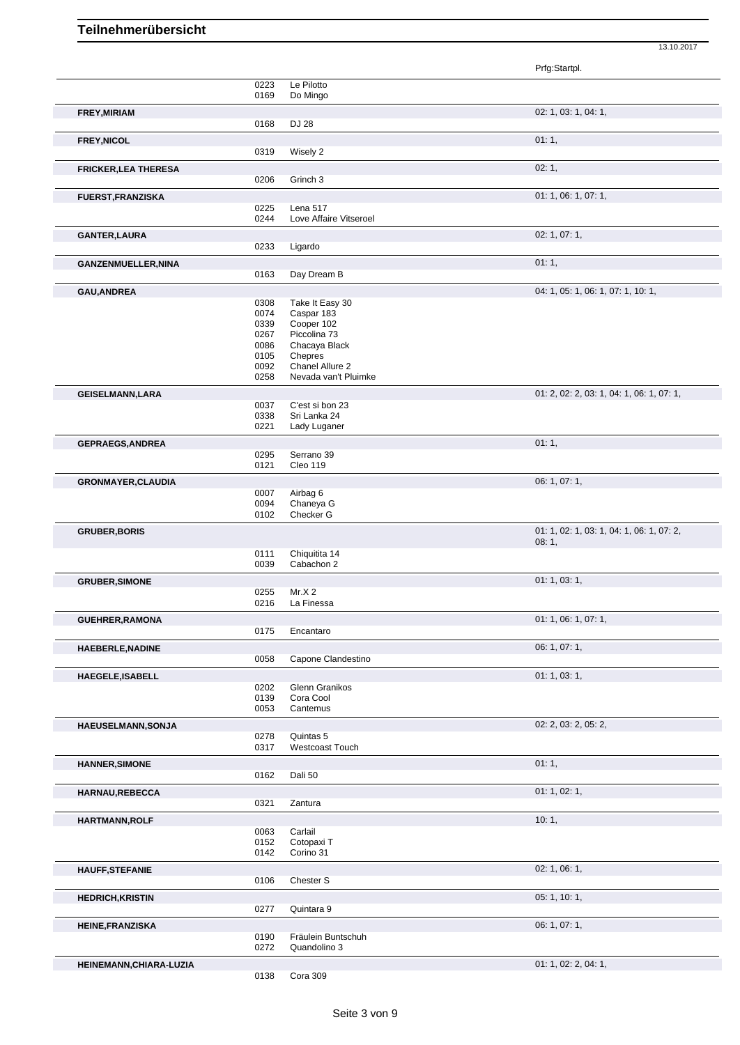|                             |              |                                    | Prfg:Startpl.                             |
|-----------------------------|--------------|------------------------------------|-------------------------------------------|
|                             | 0223         | Le Pilotto                         |                                           |
|                             | 0169         | Do Mingo                           |                                           |
| FREY, MIRIAM                |              |                                    | 02: 1, 03: 1, 04: 1,                      |
|                             | 0168         | DJ 28                              |                                           |
| FREY, NICOL                 |              |                                    | 01:1,                                     |
|                             | 0319         | Wisely 2                           |                                           |
|                             |              |                                    |                                           |
| <b>FRICKER, LEA THERESA</b> | 0206         | Grinch 3                           | 02:1,                                     |
|                             |              |                                    |                                           |
| <b>FUERST, FRANZISKA</b>    |              |                                    | 01: 1, 06: 1, 07: 1,                      |
|                             | 0225<br>0244 | Lena 517<br>Love Affaire Vitseroel |                                           |
|                             |              |                                    |                                           |
| <b>GANTER, LAURA</b>        |              |                                    | 02: 1, 07: 1,                             |
|                             | 0233         | Ligardo                            |                                           |
| <b>GANZENMUELLER, NINA</b>  |              |                                    | 01:1,                                     |
|                             | 0163         | Day Dream B                        |                                           |
| <b>GAU, ANDREA</b>          |              |                                    | 04: 1, 05: 1, 06: 1, 07: 1, 10: 1,        |
|                             | 0308         | Take It Easy 30                    |                                           |
|                             | 0074         | Caspar 183                         |                                           |
|                             | 0339         | Cooper 102                         |                                           |
|                             | 0267         | Piccolina 73                       |                                           |
|                             | 0086         | Chacaya Black                      |                                           |
|                             | 0105         | Chepres                            |                                           |
|                             | 0092         | Chanel Allure 2                    |                                           |
|                             | 0258         | Nevada van't Pluimke               |                                           |
| <b>GEISELMANN, LARA</b>     |              |                                    | 01: 2, 02: 2, 03: 1, 04: 1, 06: 1, 07: 1, |
|                             | 0037         | C'est si bon 23                    |                                           |
|                             | 0338         | Sri Lanka 24                       |                                           |
|                             | 0221         | Lady Luganer                       |                                           |
| <b>GEPRAEGS, ANDREA</b>     |              |                                    | 01:1,                                     |
|                             | 0295         | Serrano 39                         |                                           |
|                             | 0121         | Cleo 119                           |                                           |
|                             |              |                                    |                                           |
| <b>GRONMAYER, CLAUDIA</b>   |              |                                    | 06: 1, 07: 1,                             |
|                             | 0007         | Airbag 6                           |                                           |
|                             | 0094<br>0102 | Chaneya G<br>Checker G             |                                           |
|                             |              |                                    |                                           |
| <b>GRUBER, BORIS</b>        |              |                                    | 01: 1, 02: 1, 03: 1, 04: 1, 06: 1, 07: 2, |
|                             |              |                                    | 08:1,                                     |
|                             | 0111         | Chiquitita 14                      |                                           |
|                             | 0039         | Cabachon 2                         |                                           |
| <b>GRUBER, SIMONE</b>       |              |                                    | 01: 1, 03: 1,                             |
|                             | 0255         | Mr.X 2                             |                                           |
|                             | 0216         | La Finessa                         |                                           |
| <b>GUEHRER, RAMONA</b>      |              |                                    | 01: 1, 06: 1, 07: 1,                      |
|                             | 0175         | Encantaro                          |                                           |
| HAEBERLE, NADINE            |              |                                    | 06: 1, 07: 1,                             |
|                             | 0058         | Capone Clandestino                 |                                           |
|                             |              |                                    |                                           |
| HAEGELE, ISABELL            |              |                                    | 01: 1, 03: 1,                             |
|                             | 0202         | Glenn Granikos                     |                                           |
|                             | 0139         | Cora Cool                          |                                           |
|                             | 0053         | Cantemus                           |                                           |
| HAEUSELMANN, SONJA          |              |                                    | 02: 2, 03: 2, 05: 2,                      |
|                             | 0278         | Quintas 5                          |                                           |
|                             | 0317         | Westcoast Touch                    |                                           |
| <b>HANNER, SIMONE</b>       |              |                                    | 01:1,                                     |
|                             | 0162         | Dali 50                            |                                           |
|                             |              |                                    | 01: 1, 02: 1,                             |
| HARNAU, REBECCA             | 0321         | Zantura                            |                                           |
|                             |              |                                    |                                           |
| HARTMANN, ROLF              |              |                                    | 10:1,                                     |
|                             | 0063         | Carlail                            |                                           |
|                             | 0152         | Cotopaxi T                         |                                           |
|                             | 0142         | Corino 31                          |                                           |
| <b>HAUFF, STEFANIE</b>      |              |                                    | 02: 1, 06: 1,                             |
|                             | 0106         | Chester S                          |                                           |
|                             |              |                                    | 05: 1, 10: 1,                             |
| <b>HEDRICH, KRISTIN</b>     |              |                                    |                                           |
|                             | 0277         | Quintara 9                         |                                           |
| <b>HEINE, FRANZISKA</b>     |              |                                    | 06: 1, 07: 1,                             |
|                             | 0190         | Fräulein Buntschuh                 |                                           |
|                             | 0272         | Quandolino 3                       |                                           |
| HEINEMANN, CHIARA-LUZIA     |              |                                    | 01: 1, 02: 2, 04: 1,                      |
|                             | 0138         | Cora 309                           |                                           |
|                             |              |                                    |                                           |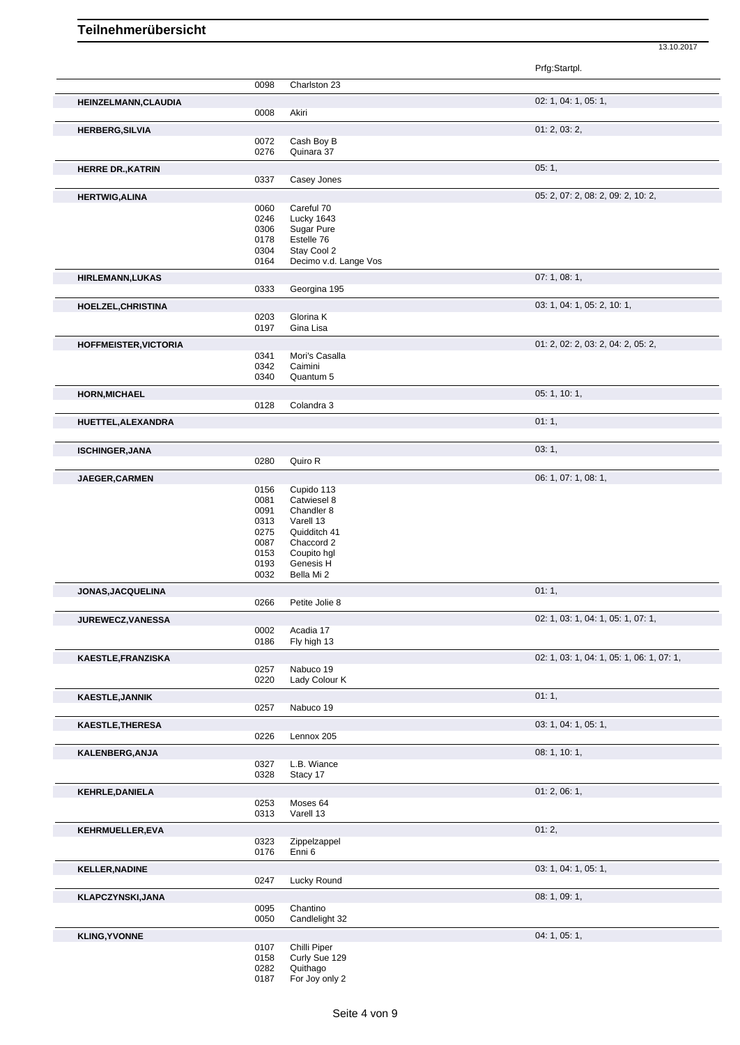|                              |              |                            | Prfg:Startpl.                             |
|------------------------------|--------------|----------------------------|-------------------------------------------|
|                              | 0098         | Charlston 23               |                                           |
| HEINZELMANN, CLAUDIA         |              |                            | 02: 1, 04: 1, 05: 1,                      |
|                              | 0008         | Akiri                      |                                           |
| <b>HERBERG, SILVIA</b>       |              |                            | 01: 2, 03: 2,                             |
|                              | 0072<br>0276 | Cash Boy B<br>Quinara 37   |                                           |
|                              |              |                            | 05:1,                                     |
| <b>HERRE DR., KATRIN</b>     | 0337         | Casey Jones                |                                           |
| <b>HERTWIG, ALINA</b>        |              |                            | 05: 2, 07: 2, 08: 2, 09: 2, 10: 2,        |
|                              | 0060         | Careful 70                 |                                           |
|                              | 0246         | Lucky 1643                 |                                           |
|                              | 0306         | Sugar Pure                 |                                           |
|                              | 0178<br>0304 | Estelle 76<br>Stay Cool 2  |                                           |
|                              | 0164         | Decimo v.d. Lange Vos      |                                           |
| <b>HIRLEMANN,LUKAS</b>       |              |                            | 07:1,08:1,                                |
|                              | 0333         | Georgina 195               |                                           |
| HOELZEL, CHRISTINA           |              |                            | 03: 1, 04: 1, 05: 2, 10: 1,               |
|                              | 0203         | Glorina K                  |                                           |
|                              | 0197         | Gina Lisa                  |                                           |
| <b>HOFFMEISTER, VICTORIA</b> | 0341         | Mori's Casalla             | 01: 2, 02: 2, 03: 2, 04: 2, 05: 2,        |
|                              | 0342         | Caimini                    |                                           |
|                              | 0340         | Quantum 5                  |                                           |
| <b>HORN, MICHAEL</b>         |              |                            | 05: 1, 10: 1,                             |
|                              | 0128         | Colandra 3                 |                                           |
| HUETTEL, ALEXANDRA           |              |                            | 01:1,                                     |
| <b>ISCHINGER, JANA</b>       |              |                            | 03:1,                                     |
|                              | 0280         | Quiro R                    |                                           |
| JAEGER, CARMEN               |              |                            | 06: 1, 07: 1, 08: 1,                      |
|                              | 0156         | Cupido 113                 |                                           |
|                              | 0081         | Catwiesel 8                |                                           |
|                              | 0091<br>0313 | Chandler 8                 |                                           |
|                              | 0275         | Varell 13<br>Quidditch 41  |                                           |
|                              | 0087         | Chaccord 2                 |                                           |
|                              | 0153         | Coupito hgl                |                                           |
|                              | 0193         | Genesis H                  |                                           |
|                              | 0032         | Bella Mi 2                 |                                           |
| JONAS, JACQUELINA            | 0266         | Petite Jolie 8             | 01:1,                                     |
| <b>JUREWECZ, VANESSA</b>     |              |                            | 02: 1, 03: 1, 04: 1, 05: 1, 07: 1,        |
|                              | 0002         | Acadia 17                  |                                           |
|                              | 0186         | Fly high 13                |                                           |
| KAESTLE, FRANZISKA           |              |                            | 02: 1, 03: 1, 04: 1, 05: 1, 06: 1, 07: 1, |
|                              | 0257<br>0220 | Nabuco 19<br>Lady Colour K |                                           |
| <b>KAESTLE, JANNIK</b>       |              |                            | 01:1,                                     |
|                              | 0257         | Nabuco 19                  |                                           |
| <b>KAESTLE, THERESA</b>      |              |                            | 03: 1, 04: 1, 05: 1,                      |
|                              | 0226         | Lennox 205                 |                                           |
| KALENBERG, ANJA              |              |                            | 08: 1, 10: 1,                             |
|                              | 0327<br>0328 | L.B. Wiance<br>Stacy 17    |                                           |
|                              |              |                            | 01: 2, 06: 1,                             |
| <b>KEHRLE, DANIELA</b>       | 0253         | Moses 64                   |                                           |
|                              | 0313         | Varell 13                  |                                           |
| KEHRMUELLER,EVA              |              |                            | 01:2,                                     |
|                              | 0323         | Zippelzappel               |                                           |
|                              | 0176         | Enni 6                     |                                           |
| <b>KELLER, NADINE</b>        | 0247         | Lucky Round                | 03: 1, 04: 1, 05: 1,                      |
|                              |              |                            | 08: 1, 09: 1,                             |
| KLAPCZYNSKI, JANA            | 0095         | Chantino                   |                                           |
|                              | 0050         | Candlelight 32             |                                           |
| <b>KLING, YVONNE</b>         |              |                            | 04: 1, 05: 1,                             |
|                              | 0107         | Chilli Piper               |                                           |
|                              | 0158<br>0282 | Curly Sue 129<br>Quithago  |                                           |
|                              | 0187         | For Joy only 2             |                                           |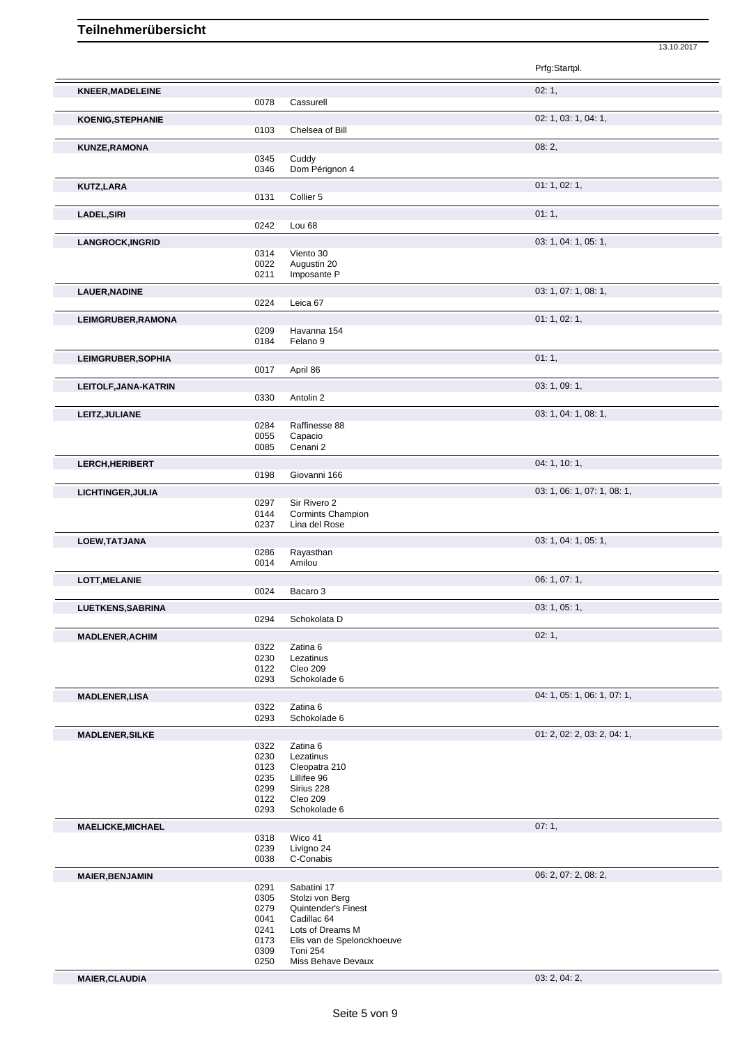|                           |              |                                            | Prfg:Startpl.               |
|---------------------------|--------------|--------------------------------------------|-----------------------------|
| <b>KNEER, MADELEINE</b>   |              |                                            | 02:1,                       |
|                           | 0078         | Cassurell                                  |                             |
| <b>KOENIG, STEPHANIE</b>  |              |                                            | 02: 1, 03: 1, 04: 1,        |
|                           | 0103         | Chelsea of Bill                            |                             |
| KUNZE, RAMONA             |              |                                            | 08:2,                       |
|                           | 0345         | Cuddy                                      |                             |
|                           | 0346         | Dom Pérignon 4                             |                             |
| KUTZ,LARA                 |              |                                            | 01: 1, 02: 1,               |
|                           | 0131         | Collier 5                                  |                             |
| <b>LADEL, SIRI</b>        |              |                                            | 01:1,                       |
|                           | 0242         | Lou 68                                     |                             |
| <b>LANGROCK, INGRID</b>   |              |                                            | 03: 1, 04: 1, 05: 1,        |
|                           | 0314         | Viento 30                                  |                             |
|                           | 0022         | Augustin 20                                |                             |
|                           | 0211         | Imposante P                                |                             |
| LAUER, NADINE             |              |                                            | 03: 1, 07: 1, 08: 1,        |
|                           | 0224         | Leica 67                                   |                             |
| LEIMGRUBER, RAMONA        |              |                                            | 01: 1, 02: 1,               |
|                           | 0209         | Havanna 154                                |                             |
|                           | 0184         | Felano <sub>9</sub>                        |                             |
| <b>LEIMGRUBER, SOPHIA</b> |              |                                            | 01:1,                       |
|                           | 0017         | April 86                                   |                             |
| LEITOLF, JANA-KATRIN      |              |                                            | 03: 1, 09: 1,               |
|                           | 0330         | Antolin <sub>2</sub>                       |                             |
| LEITZ, JULIANE            |              |                                            | 03: 1, 04: 1, 08: 1,        |
|                           | 0284         | Raffinesse 88                              |                             |
|                           | 0055<br>0085 | Capacio<br>Cenani 2                        |                             |
|                           |              |                                            |                             |
| LERCH, HERIBERT           |              |                                            | 04: 1, 10: 1,               |
|                           | 0198         | Giovanni 166                               |                             |
| LICHTINGER, JULIA         |              |                                            | 03: 1, 06: 1, 07: 1, 08: 1, |
|                           | 0297<br>0144 | Sir Rivero 2<br><b>Cormints Champion</b>   |                             |
|                           | 0237         | Lina del Rose                              |                             |
|                           |              |                                            | 03: 1, 04: 1, 05: 1,        |
| LOEW, TATJANA             | 0286         | Rayasthan                                  |                             |
|                           | 0014         | Amilou                                     |                             |
| <b>LOTT, MELANIE</b>      |              |                                            | 06: 1, 07: 1,               |
|                           | 0024         | Bacaro 3                                   |                             |
| <b>LUETKENS, SABRINA</b>  |              |                                            | 03: 1, 05: 1,               |
|                           | 0294         | Schokolata D                               |                             |
| <b>MADLENER, ACHIM</b>    |              |                                            | 02:1,                       |
|                           | 0322         | Zatina 6                                   |                             |
|                           | 0230         | Lezatinus                                  |                             |
|                           | 0122         | Cleo 209                                   |                             |
|                           | 0293         | Schokolade 6                               |                             |
| <b>MADLENER,LISA</b>      |              |                                            | 04: 1, 05: 1, 06: 1, 07: 1, |
|                           | 0322<br>0293 | Zatina 6<br>Schokolade 6                   |                             |
|                           |              |                                            |                             |
| <b>MADLENER, SILKE</b>    |              |                                            | 01: 2, 02: 2, 03: 2, 04: 1, |
|                           | 0322<br>0230 | Zatina 6<br>Lezatinus                      |                             |
|                           | 0123         | Cleopatra 210                              |                             |
|                           | 0235         | Lillifee 96                                |                             |
|                           | 0299         | Sirius 228                                 |                             |
|                           | 0122<br>0293 | Cleo 209<br>Schokolade 6                   |                             |
|                           |              |                                            |                             |
| <b>MAELICKE, MICHAEL</b>  | 0318         | Wico 41                                    | 07:1,                       |
|                           | 0239         | Livigno 24                                 |                             |
|                           | 0038         | C-Conabis                                  |                             |
| <b>MAIER, BENJAMIN</b>    |              |                                            | 06: 2, 07: 2, 08: 2,        |
|                           | 0291         | Sabatini 17                                |                             |
|                           | 0305         | Stolzi von Berg                            |                             |
|                           | 0279         | <b>Quintender's Finest</b>                 |                             |
|                           | 0041<br>0241 | Cadillac <sub>64</sub><br>Lots of Dreams M |                             |
|                           | 0173         | Elis van de Spelonckhoeuve                 |                             |
|                           | 0309         | Toni 254                                   |                             |

Miss Behave Devaux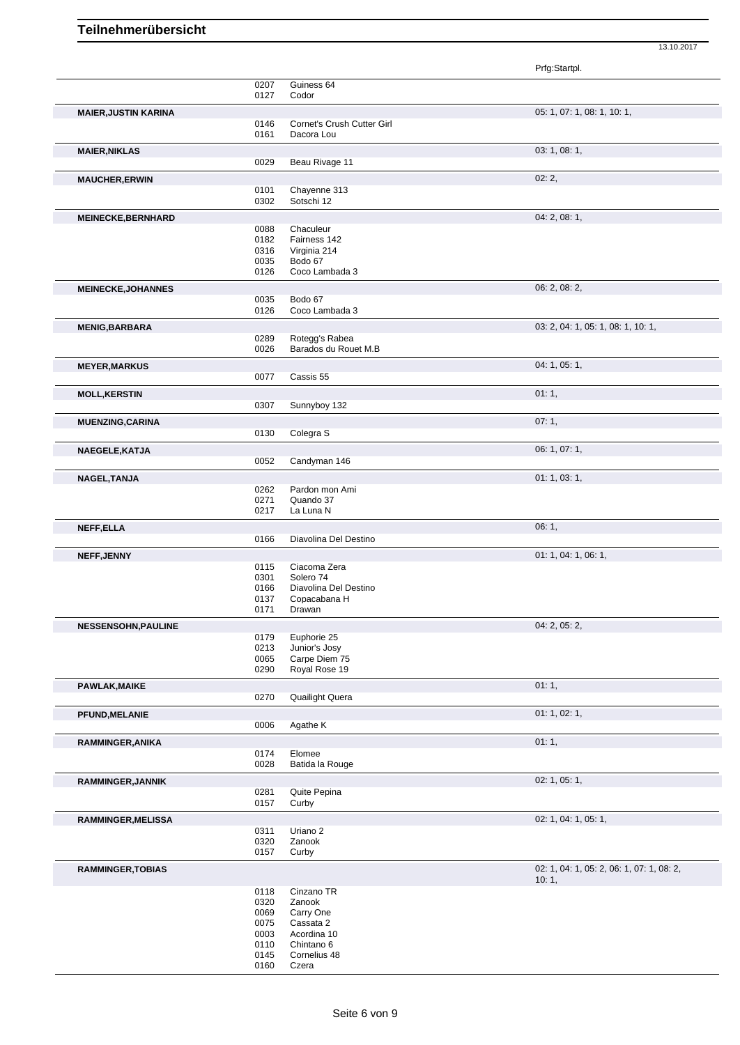Prfg:Startpl. 0207 Guiness 64 0127 Codor **MAIER,JUSTIN KARINA** 05: 1, 07: 1, 08: 1, 10: 1, 0146 Cornet's Crush Cutter Girl 0161 Dacora Lou **MAIER,NIKLAS** 03: 1, 08: 1, 0029 Beau Rivage 11 **MAUCHER,ERWIN** 02: 2, 0101 Chayenne 313 0302 Sotschi 12 **MEINECKE, BERNHARD** 0088 **Chaculeur** 0088 **Chaculeur** 0088 **Chaculeur** 0088 **Chaculeur** 0088 **Chaculeur** 0088 **Chaculeur** 0088 **Chaculeur** 0088 **Chaculeur** 0088 **Chaculeur** 0088 **Chaculeur** 0088 **Chaculeur** 0088 **Chaculeu** 0088 Chaculeur<br>0182 Fairness 1 0182 Fairness 142 0316 Virginia 214<br>0035 Bodo 67 0035 Bodo 67<br>0126 Coco Lar Coco Lambada 3 **MEINECKE,JOHANNES** 06: 2, 08: 2, 0035 Bodo 67<br>0126 Coco La Coco Lambada 3 **MENIG,BARBARA** 03: 2, 04: 1, 05: 1, 08: 1, 10: 1, 0289 Rotegg's Rabea<br>0026 Barados du Rou 0026 Barados du Rouet M.B **MEYER,MARKUS** 04: 1, 05: 1, Cassis 55 **MOLL,KERSTIN** 01: 1, 0307 Sunnyboy 132 **MUENZING,CARINA** 07: 1, 0130 Colegra S **NAEGELE,KATJA** 06: 1, 07: 1, 0052 Candyman 146 **NAGEL,TANJA** 01: 1, 03: 1,<br>
0262 Pardon mon Ami Pardon mon Ami 0271 Quando 37 0217 La Luna N **NEFF,ELLA** 06: 1, 0166 Diavolina Del Destino **NEFF,JENNY** 01: 1, 04: 1, 06: 1, 0115 Ciacoma Zera 0301 Solero 74<br>0166 Diavolina 0166 Diavolina Del Destino<br>0137 Copacabana H 0137 Copacabana H<br>0171 Drawan Drawan **NESSENSOHN,PAULINE** 0179 Euphorie 25 **Decision 120 and 20179** Cupose 12, 05: 2, 05: 2, 05: 2, 05: 2, 05: 2, 05: 2, 05: 2, 05: 2, 05: 2, 05: 2, 05: 2, 05: 2, 05: 2, 05: 2, 05: 2, 05: 2, 05: 2, 05: 2, 05: 2, 05: 2, 05: 2, 0 0179 Euphorie 25<br>0213 Junior's Josy 0213 Junior's Josy<br>0065 Carpe Diem 0065 Carpe Diem 75<br>0290 Royal Rose 19 Royal Rose 19 PAWLAK,MAIKE 01: 1, 0270 Quailight Quera Quailight Quera **PFUND,MELANIE** 01: 1, 02: 1, 02: 1, 02: 1, 02: 1, 02: 1, 02: 1, 02: 1, 02: 1, 02: 1, 02: 1, 02: 1, 02: 1, 02: 1, 02: 1, 02: 1, 02: 1, 02: 1, 02: 1, 02: 1, 02: 1, 02: 1, 02: 1, 02: 1, 02: 1, 02: 1, 02: 1, 02: 1, 02: 1, 02: Agathe K **RAMMINGER, ANIKA** 01: 1, 01: 1, 01: 1, 01: 1, 01: 1, 01: 1, 01: 1, 01: 1, 01: 1, 01: 1, 01: 1, 01: 1, 01: 1, 01: 1, 01: 1, 01: 1, 01: 1, 01: 1, 01: 1, 01: 1, 01: 1, 01: 1, 01: 1, 01: 1, 01: 1, 01: 1, 01: 01: 01: 01: 01: 0 0174 Elomee 0028 Batida la Rouge **RAMMINGER,JANNIK** 02: 1, 05: 1, 05: 1, 05: 1, 05: 1, 05: 1, 05: 1, 05: 1, 05: 1, 05: 1, 05: 1, 05: 1, 05: 1, 05: 1, 05: 1, 05: 1, 05: 1, 05: 1, 05: 1, 05: 1, 05: 1, 05: 1, 05: 1, 05: 1, 05: 1, 05: 1, 05: 1, 05: 1, 05: 1, Quite Pepina 0157 Curby **RAMMINGER,MELISSA** 02: 1, 04: 1, 05: 1, 0311 Uriano 2 0320 Zanook<br>0157 Curby Curby **RAMMINGER,TOBIAS** 02: 1, 04: 1, 05: 2, 06: 1, 07: 1, 08: 2, 10: 1, 0118 Cinzano TR<br>0320 Zanook 0320 Zanook<br>0069 Carry O 0069 Carry One<br>0075 Cassata 2 0075 Cassata 2<br>0003 Acordina 1 0003 Acordina 10<br>0110 Chintano 6 0110 Chintano 6<br>0145 Cornelius 4 0145 Cornelius 48<br>0160 Czera

13.10.2017

Czera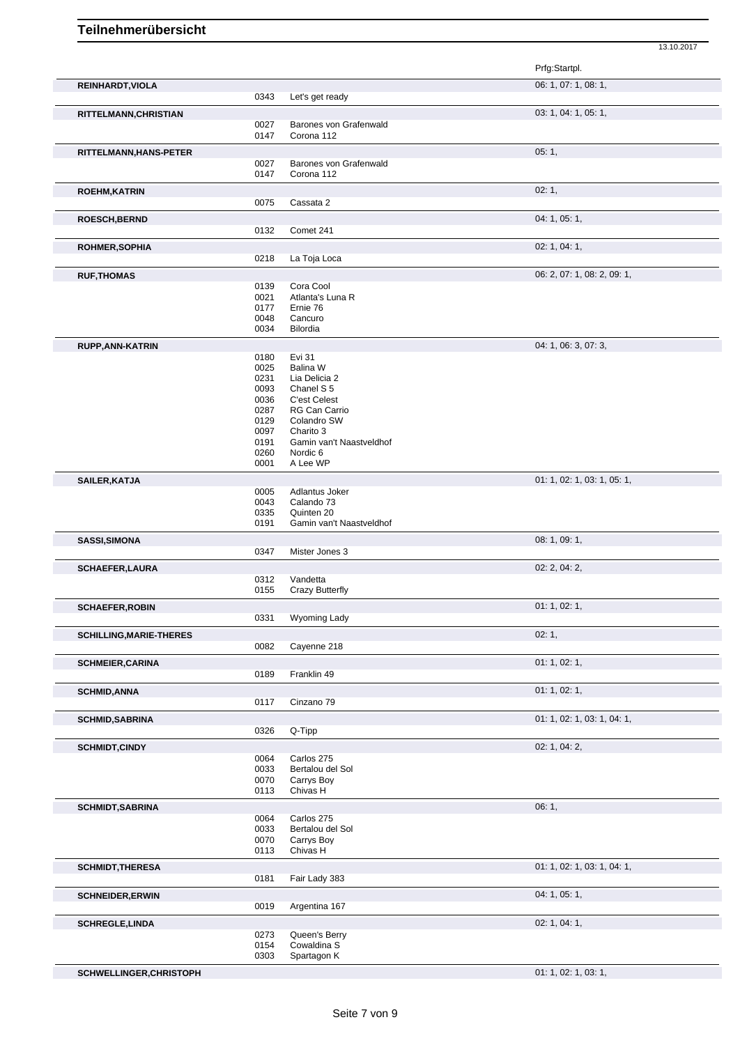|                                |              |                               | Prfg:Startpl.               |
|--------------------------------|--------------|-------------------------------|-----------------------------|
| REINHARDT, VIOLA               |              |                               | 06: 1, 07: 1, 08: 1,        |
|                                | 0343         | Let's get ready               |                             |
| RITTELMANN, CHRISTIAN          |              |                               | 03: 1, 04: 1, 05: 1,        |
|                                | 0027         | Barones von Grafenwald        |                             |
|                                | 0147         | Corona 112                    |                             |
| RITTELMANN, HANS-PETER         |              |                               | 05:1,                       |
|                                | 0027         | Barones von Grafenwald        |                             |
|                                | 0147         | Corona 112                    |                             |
| <b>ROEHM, KATRIN</b>           |              |                               | 02:1,                       |
|                                | 0075         | Cassata 2                     |                             |
| <b>ROESCH, BERND</b>           |              |                               | 04: 1, 05: 1,               |
|                                | 0132         | Comet 241                     |                             |
|                                |              |                               | 02: 1, 04: 1,               |
| <b>ROHMER, SOPHIA</b>          | 0218         | La Toja Loca                  |                             |
|                                |              |                               |                             |
| <b>RUF, THOMAS</b>             |              |                               | 06: 2, 07: 1, 08: 2, 09: 1, |
|                                | 0139<br>0021 | Cora Cool<br>Atlanta's Luna R |                             |
|                                | 0177         | Ernie 76                      |                             |
|                                | 0048         | Cancuro                       |                             |
|                                | 0034         | Bilordia                      |                             |
| <b>RUPP, ANN-KATRIN</b>        |              |                               | 04: 1, 06: 3, 07: 3,        |
|                                | 0180         | Evi 31                        |                             |
|                                | 0025         | Balina W                      |                             |
|                                | 0231         | Lia Delicia 2                 |                             |
|                                | 0093         | Chanel S <sub>5</sub>         |                             |
|                                | 0036<br>0287 | C'est Celest<br>RG Can Carrio |                             |
|                                | 0129         | Colandro SW                   |                             |
|                                | 0097         | Charito 3                     |                             |
|                                | 0191         | Gamin van't Naastveldhof      |                             |
|                                | 0260         | Nordic <sub>6</sub>           |                             |
|                                | 0001         | A Lee WP                      |                             |
| SAILER, KATJA                  |              |                               | 01: 1, 02: 1, 03: 1, 05: 1, |
|                                | 0005         | Adlantus Joker                |                             |
|                                | 0043<br>0335 | Calando 73<br>Quinten 20      |                             |
|                                | 0191         | Gamin van't Naastveldhof      |                             |
| SASSI, SIMONA                  |              |                               | 08: 1, 09: 1,               |
|                                | 0347         | Mister Jones 3                |                             |
| <b>SCHAEFER,LAURA</b>          |              |                               | 02: 2, 04: 2,               |
|                                | 0312         | Vandetta                      |                             |
|                                | 0155         | Crazy Butterfly               |                             |
| <b>SCHAEFER, ROBIN</b>         |              |                               | 01: 1, 02: 1,               |
|                                | 0331         | Wyoming Lady                  |                             |
| <b>SCHILLING, MARIE-THERES</b> |              |                               | 02:1,                       |
|                                | 0082         | Cayenne 218                   |                             |
| <b>SCHMEIER, CARINA</b>        |              |                               | 01: 1, 02: 1,               |
|                                | 0189         | Franklin 49                   |                             |
| <b>SCHMID,ANNA</b>             |              |                               | 01: 1, 02: 1,               |
|                                | 0117         | Cinzano 79                    |                             |
|                                |              |                               |                             |
| <b>SCHMID, SABRINA</b>         | 0326         | Q-Tipp                        | 01: 1, 02: 1, 03: 1, 04: 1, |
|                                |              |                               |                             |
| <b>SCHMIDT,CINDY</b>           |              | Carlos 275                    | 02: 1, 04: 2,               |
|                                | 0064<br>0033 | Bertalou del Sol              |                             |
|                                | 0070         | Carrys Boy                    |                             |
|                                | 0113         | Chivas H                      |                             |
| <b>SCHMIDT, SABRINA</b>        |              |                               | 06: 1,                      |
|                                | 0064         | Carlos 275                    |                             |
|                                | 0033         | Bertalou del Sol              |                             |
|                                | 0070         | Carrys Boy                    |                             |
|                                | 0113         | Chivas H                      |                             |
| <b>SCHMIDT, THERESA</b>        |              |                               | 01: 1, 02: 1, 03: 1, 04: 1, |
|                                | 0181         | Fair Lady 383                 |                             |
| <b>SCHNEIDER, ERWIN</b>        |              |                               | 04: 1, 05: 1,               |
|                                | 0019         | Argentina 167                 |                             |
| <b>SCHREGLE, LINDA</b>         |              |                               | 02: 1, 04: 1,               |
|                                | 0273<br>0154 | Queen's Berry                 |                             |
|                                |              | Cowaldina S                   |                             |
|                                | 0303         | Spartagon K                   |                             |

**SCHWELLINGER, CHRISTOPH** 01: 1, 02: 1, 03: 1,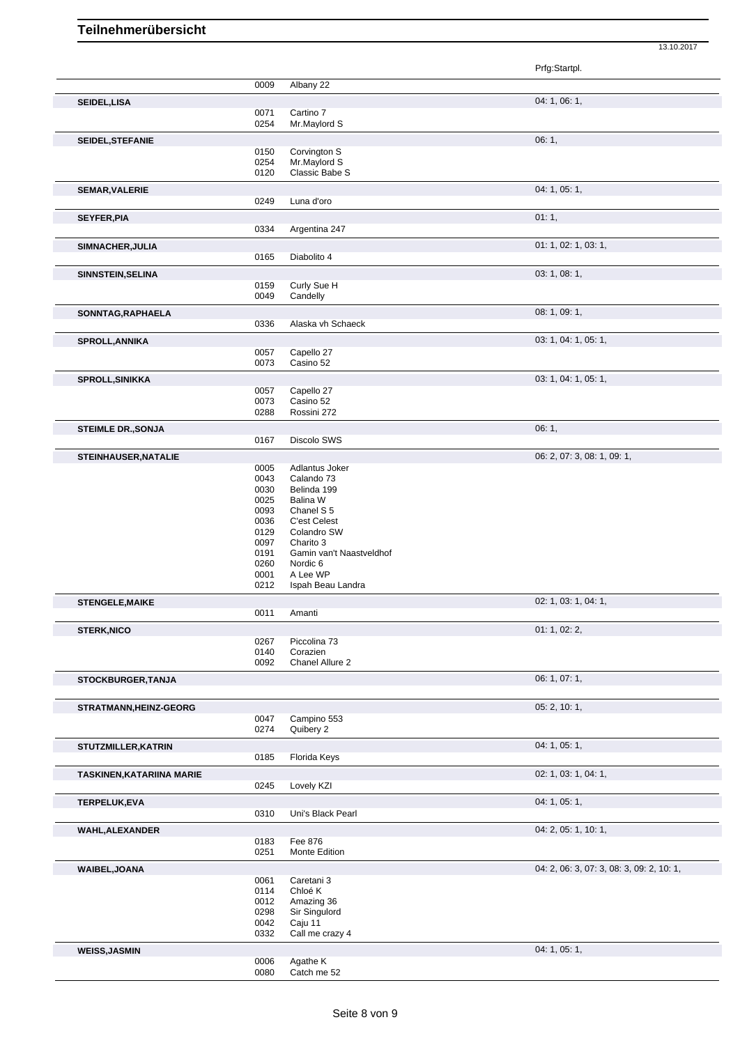Prfg:Startpl. 0009 Albany 22 **SEIDEL,LISA** 04: 1, 06: 1, 0071 Cartino 7 0254 Mr.Maylord S **SEIDEL,STEFANIE** 06: 1, 0150 Corvington S 0254 Mr.Maylord S 0120 Classic Babe S **SEMAR, VALERIE** 04: 1, 05: 1, 05: 1, 05: 1, 05: 1, 05: 1, 05: 1, 05: 1, 05: 1, 05: 1, 05: 1, 05: 1, 05: 1, 05: 1, 05: 1, 05: 1, 05: 1, 05: 1, 05: 1, 05: 1, 05: 1, 05: 1, 05: 1, 05: 1, 05: 1, 05: 1, 05: 1, 05: 1, 05: 1, 05 0249 Luna d'oro **SEYFER, PIA** 01: 1, 0334 Argentina 247 **SIMNACHER,JULIA** 01: 1, 02: 1, 03: 1, 0165 Diabolito 4 **SINNSTEIN,SELINA** 03: 1, 08: 1, 0159 Curly Sue H<br>0049 Candelly Candelly **SONNTAG,RAPHAELA** 08: 1, 09: 1, 09: 1, 09: 1, 09: 1, 09: 1, 09: 1, 09: 1, 09: 1, 09: 1, 09: 1, 09: 1, 09: 1, 09: 1, Alaska vh Schaeck **SPROLL,ANNIKA** 03: 1, 04: 1, 05: 1, 05: 1, 05: 1, 05: 1, 05: 1, 05: 1, 05: 1, 05: 1, 05: 1, 05: 1, 05: 1, 05: 1, 05: 1, 05: 1, 05: 1, 05: 1, 05: 1, 05: 1, 05: 1, 05: 1, 05: 1, 05: 1, 05: 1, 05: 1, 05: 1, 05: 1, 05: 1, 05: 0057 Capello 27<br>0073 Casino 52 Casino 52 **SPROLL,SINIKKA** 03: 1, 04: 1, 05: 1, 05: 1, 05: 1, 05: 1, 05: 1, 05: 1, 05: 1, 05: 1, 05: 1, 05: 1, 05: 1, 05: 1, 05: 1, 05: 1, 05: 1, 05: 1, 05: 1, 05: 1, 05: 1, 05: 1, 05: 1, 05: 1, 05: 1, 05: 1, 05: 1, 05: 1, 05: 1, 05 0057 Capello 27<br>0073 Casino 52 0073 Casino 52<br>0288 Rossini 27 Rossini 272 **STEIMLE DR.,SONJA** 06: 1, Discolo SWS **STEINHAUSER, NATALIE** 0005 Adlantus Joker 0005 Adlantus 10005 Adlantus 10005 06: 2, 07: 3, 08: 1, 09: 1, Adlantus Joker 0043 Calando 73<br>0030 Belinda 199 Belinda 199 0025 Balina W 0093 Chanel S 5 0036 C'est Celest<br>0129 Colandro SV 0129 Colandro SW<br>0097 Charito 3 Charito 3 0191 Gamin van't Naastveldhof<br>0260 Nordic 6 0260 Nordic 6<br>0001 A Lee WI 0001 A Lee WP<br>0212 Ispah Bear Ispah Beau Landra **STENGELE,MAIKE** 02: 1, 03: 1, 04: 1, Amanti **STERK,NICO** 01: 1, 02: 2, 0267 Piccolina 73<br>0140 Corazien 0140 Corazien<br>0092 Chanel Al Chanel Allure 2 **STOCKBURGER,TANJA** 06: 1, 07: 1, **STRATMANN, HEINZ-GEORG** 05: 2, 10: 1,<br>
0047 Campino 553 0047 Campino 553 0274 Quibery 2 **STUTZMILLER.KATRIN** 04: 1, 05: 1, 05: 1, 05: 1, 05: 1, 05: 1, 05: 1, 05: 1, 05: 1, 05: 1, 05: 1, 05: 1, 05: 1, 05: 1, 05: 1, 05: 1, 05: 1, 05: 1, 05: 1, 05: 1, 05: 1, 05: 1, 05: 1, 05: 1, 05: 1, 05: 1, 05: 1, 05: 1, 05: 1 0185 Florida Keys **TASKINEN,KATARIINA MARIE** 02: 1, 03: 1, 04: 1, 0245 Lovely KZI **TERPELUK,EVA** 04: 1, 05: 1, 0310 Uni's Black Pearl **WAHL,ALEXANDER** 04: 2, 05: 1, 10: 1, 0183 Fee 876 0251 Monte Edition **WAIBEL,JOANA** 04: 2, 06: 3, 07: 3, 08: 3, 09: 2, 10: 1, 0061 Caretani 3<br>0114 Chloé K Chloé K 0012 Amazing 36<br>0298 Sir Singuloro 0298 Sir Singulord<br>0042 Caju 11 0042 Caju 11<br>0332 Call me Call me crazy 4 **WEISS,JASMIN** 04: 1, 05: 1, 05: 1, 05: 1, 05: 1, 05: 1, 05: 1, 05: 1, 05: 1, 05: 1, 05: 1, 05: 1, 05: 1, 05: 1, 05: 1, 05: 1, 05: 1, 05: 1, 05: 1, 05: 1, 05: 1, 05: 1, 05: 1, 05: 1, 05: 1, 05: 1, 05: 1, 05: 1, 05: 1, 05: 0006 Agathe K<br>0080 Catch me

13.10.2017

Catch me 52